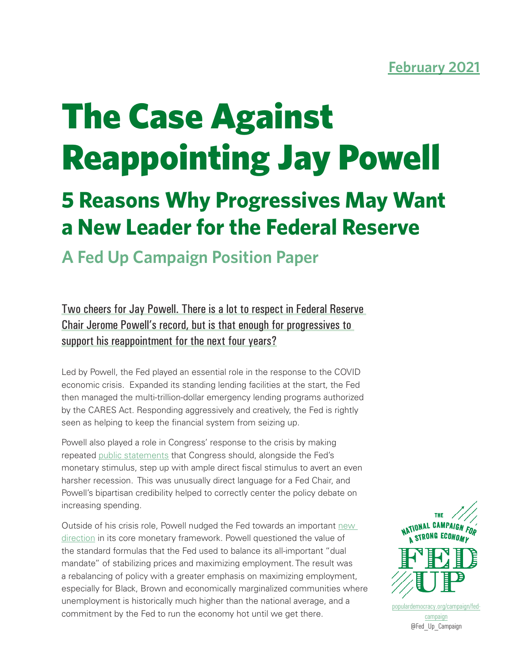# The Case Against Reappointing Jay Powell

## **5 Reasons Why Progressives May Want a New Leader for the Federal Reserve**

### **A Fed Up Campaign Position Paper**

Two cheers for Jay Powell. There is a lot to respect in Federal Reserve Chair Jerome Powell's record, but is that enough for progressives to support his reappointment for the next four years?

Led by Powell, the Fed played an essential role in the response to the COVID economic crisis. Expanded its standing lending facilities at the start, the Fed then managed the multi-trillion-dollar emergency lending programs authorized by the CARES Act. Responding aggressively and creatively, the Fed is rightly seen as helping to keep the financial system from seizing up.

Powell also played a role in Congress' response to the crisis by making repeated [public statements](https://www.bloomberg.com/news/articles/2020-10-06/powell-warns-of-weak-u-s-recovery-without-enough-government-aid) that Congress should, alongside the Fed's monetary stimulus, step up with ample direct fiscal stimulus to avert an even harsher recession. This was unusually direct language for a Fed Chair, and Powell's bipartisan credibility helped to correctly center the policy debate on increasing spending.

Outside of his crisis role, Powell nudged the Fed towards an important new [direction](https://www.reuters.com/article/us-usa-fed-jacksonhole-framework-explain/what-is-the-feds-new-policy-framework-and-why-does-it-matter-idUSKBN25N2E0) in its core monetary framework. Powell questioned the value of the standard formulas that the Fed used to balance its all-important "dual mandate" of stabilizing prices and maximizing employment. The result was a rebalancing of policy with a greater emphasis on maximizing employment, especially for Black, Brown and economically marginalized communities where unemployment is historically much higher than the national average, and a commitment by the Fed to run the economy hot until we get there.



[populardemocracy.org/campaign/fed](https://www.populardemocracy.org/campaign/fed-campaign )[campaign](https://www.populardemocracy.org/campaign/fed-campaign )

@Fed\_Up\_Campaign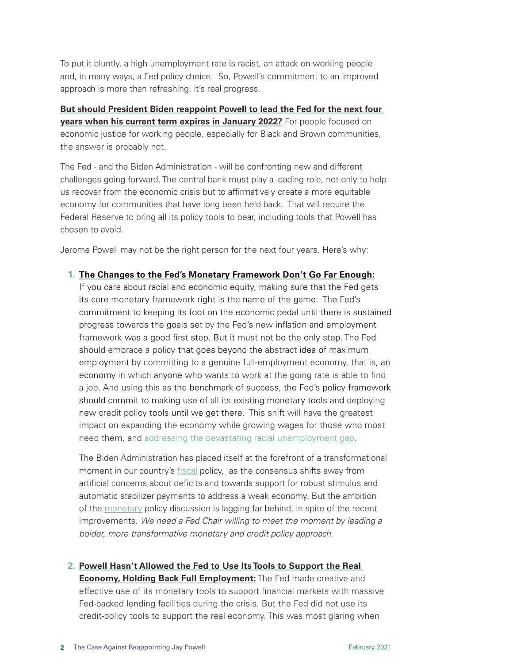To put it bluntly, a high unemployment rate is racist, an attack on working people and, in many ways, a Fed policy choice. So, Powell's commitment to an improved approach is more than refreshing, it's real progress.

**But should President Biden reappoint Powell to lead the Fed for the next four years when his current term expires in January 2022?** For people focused on economic justice for working people, especially for Black and Brown communities, the answer is probably not.

The Fed - and the Biden Administration - will be confronting new and different challenges going forward. The central bank must play a leading role, not only to help us recover from the economic crisis but to affirmatively create a more equitable economy for communities that have long been held back. That will require the Federal Reserve to bring all its policy tools to bear, including tools that Powell has chosen to avoid.

Jerome Powell may not be the right person for the next four years. Here's why:

#### **1. The Changes to the Fed's Monetary Framework Don't Go Far Enough:**

If you care about racial and economic equity, making sure that the Fed gets its core monetary framework right is the name of the game. The Fed's commitment to keeping its foot on the economic pedal until there is sustained progress towards the goals set by the Fed's new inflation and employment framework was a good first step. But it must not be the only step. The Fed should embrace a policy that goes beyond the abstract idea of maximum employment by committing to a genuine full-employment economy, that is, an economy in which anyone who wants to work at the going rate is able to find a job. And using this as the benchmark of success, the Fed's policy framework should commit to making use of all its existing monetary tools and deploying new credit policy tools until we get there. This shift will have the greatest impact on expanding the economy while growing wages for those who most need them, and [addressing the devastating racial unemployment gap](https://www.epi.org/publication/the-impact-of-full-employment-on-african-american-employment-and-wages/).

The Biden Administration has placed itself at the forefront of a transformational moment in our country's fiscal policy, as the consensus shifts away from artificial concerns about deficits and towards support for robust stimulus and automatic stabilizer payments to address a weak economy. But the ambition of the monetary policy discussion is lagging far behind, in spite of the recent improvements. *We need a Fed Chair willing to meet the moment by leading a bolder, more transformative monetary and credit policy approach.*

#### **2. Powell Hasn't Allowed the Fed to Use Its Tools to Support the Real**

**Economy, Holding Back Full Employment:** The Fed made creative and effective use of its monetary tools to support financial markets with massive Fed-backed lending facilities during the crisis. But the Fed did not use its credit-policy tools to support the real economy. This was most glaring when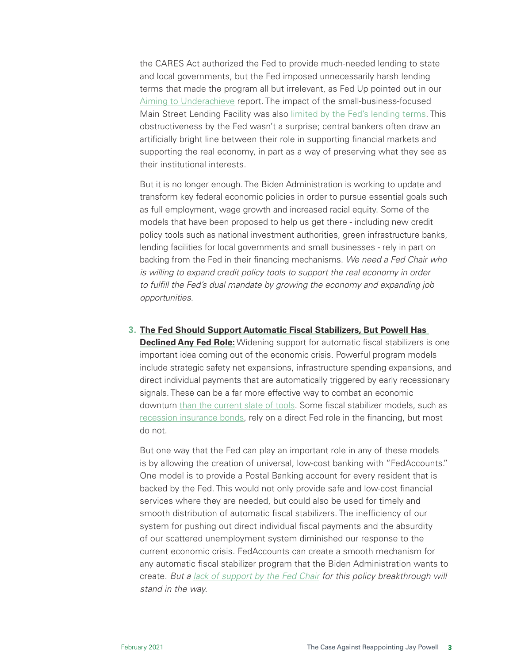the CARES Act authorized the Fed to provide much-needed lending to state and local governments, but the Fed imposed unnecessarily harsh lending terms that made the program all but irrelevant, as Fed Up pointed out in our [Aiming to Underachieve](https://www.populardemocracy.org/news/publications/aiming-underachieve-how-federal-reserve-lending-program-local-governments-designed) report. The impact of the small-business-focused Main Street Lending Facility was also [limited by the Fed's lending terms.](https://coc.senate.gov/sites/default/files/2020-08/COC%204th%20Report_08.21.2020%20with%20Appendix%208-27%20update.pdf) This obstructiveness by the Fed wasn't a surprise; central bankers often draw an artificially bright line between their role in supporting financial markets and supporting the real economy, in part as a way of preserving what they see as their institutional interests.

But it is no longer enough. The Biden Administration is working to update and transform key federal economic policies in order to pursue essential goals such as full employment, wage growth and increased racial equity. Some of the models that have been proposed to help us get there - including new credit policy tools such as national investment authorities, green infrastructure banks, lending facilities for local governments and small businesses - rely in part on backing from the Fed in their financing mechanisms. *We need a Fed Chair who is willing to expand credit policy tools to support the real economy in order to fulfill the Fed's dual mandate by growing the economy and expanding job opportunities.* 

**3. The Fed Should Support Automatic Fiscal Stabilizers, But Powell Has** 

**Declined Any Fed Role:** Widening support for automatic fiscal stabilizers is one important idea coming out of the economic crisis. Powerful program models include strategic safety net expansions, infrastructure spending expansions, and direct individual payments that are automatically triggered by early recessionary signals. These can be a far more effective way to combat an economic downturn than the current slate of tools. Some fiscal stabilizer models, such as [recession insurance bonds](https://www.piie.com/system/files/documents/pb20-5.pdf), rely on a direct Fed role in the financing, but most do not.

But one way that the Fed can play an important role in any of these models is by allowing the creation of universal, low-cost banking with "FedAccounts." One model is to provide a Postal Banking account for every resident that is backed by the Fed. This would not only provide safe and low-cost financial services where they are needed, but could also be used for timely and smooth distribution of automatic fiscal stabilizers. The inefficiency of our system for pushing out direct individual fiscal payments and the absurdity of our scattered unemployment system diminished our response to the current economic crisis. FedAccounts can create a smooth mechanism for any automatic fiscal stabilizer program that the Biden Administration wants to create. *But a [lack of support by the Fed Chair](https://www.rev.com/blog/transcripts/house-financial-committee-hearing-transcript-on-economy-with-jerome-powell) for this policy breakthrough will stand in the way.*